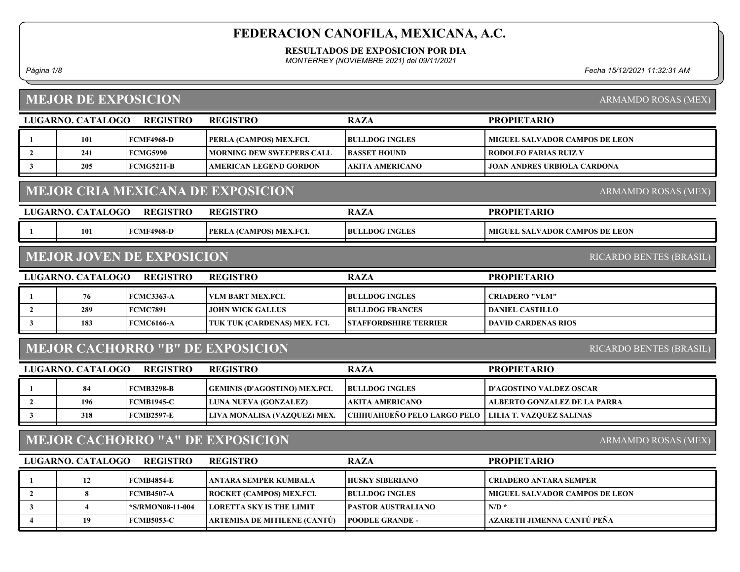RESULTADOS DE EXPOSICION POR DIA

MONTERREY (NOVIEMBRE 2021) del 09/11/2021

Página 1/8 Fecha 15/12/2021 11:32:31 AM

# MEJOR DE EXPOSICION

ARMAMDO ROSAS (MEX)

|                | LUGARNO. CATALOGO                                                     | <b>REGISTRO</b>                  | <b>REGISTRO</b>                         | <b>RAZA</b>                        | <b>PROPIETARIO</b>                    |  |  |  |
|----------------|-----------------------------------------------------------------------|----------------------------------|-----------------------------------------|------------------------------------|---------------------------------------|--|--|--|
|                | 101                                                                   | <b>FCMF4968-D</b>                | PERLA (CAMPOS) MEX.FCI.                 | <b>BULLDOG INGLES</b>              | <b>MIGUEL SALVADOR CAMPOS DE LEON</b> |  |  |  |
| $\overline{2}$ | 241                                                                   | <b>FCMG5990</b>                  | <b>MORNING DEW SWEEPERS CALL</b>        | <b>BASSET HOUND</b>                | <b>RODOLFO FARIAS RUIZ Y</b>          |  |  |  |
| 3              | 205                                                                   | <b>FCMG5211-B</b>                | AMERICAN LEGEND GORDON                  | <b>AKITA AMERICANO</b>             | <b>JOAN ANDRES URBIOLA CARDONA</b>    |  |  |  |
|                | <b>MEJOR CRIA MEXICANA DE EXPOSICION</b><br>ARMAMDO ROSAS (MEX)       |                                  |                                         |                                    |                                       |  |  |  |
|                | LUGARNO. CATALOGO                                                     | <b>REGISTRO</b>                  | <b>REGISTRO</b>                         | <b>RAZA</b>                        | <b>PROPIETARIO</b>                    |  |  |  |
|                | 101                                                                   | <b>FCMF4968-D</b>                | PERLA (CAMPOS) MEX.FCI.                 | <b>BULLDOG INGLES</b>              | <b>MIGUEL SALVADOR CAMPOS DE LEON</b> |  |  |  |
|                |                                                                       | <b>MEJOR JOVEN DE EXPOSICION</b> |                                         |                                    | RICARDO BENTES (BRASIL)               |  |  |  |
|                | LUGARNO. CATALOGO                                                     | <b>REGISTRO</b>                  | <b>REGISTRO</b>                         | <b>RAZA</b>                        | <b>PROPIETARIO</b>                    |  |  |  |
|                | 76                                                                    | <b>FCMC3363-A</b>                | VLM BART MEX.FCI.                       | <b>BULLDOG INGLES</b>              | <b>CRIADERO "VLM"</b>                 |  |  |  |
| $\overline{2}$ | 289                                                                   | <b>FCMC7891</b>                  | <b>JOHN WICK GALLUS</b>                 | <b>BULLDOG FRANCES</b>             | <b>DANIEL CASTILLO</b>                |  |  |  |
| $\mathbf{3}$   | 183                                                                   | <b>FCMC6166-A</b>                | TUK TUK (CARDENAS) MEX. FCI.            | <b>STAFFORDSHIRE TERRIER</b>       | <b>DAVID CARDENAS RIOS</b>            |  |  |  |
|                |                                                                       |                                  | <b>MEJOR CACHORRO "B" DE EXPOSICION</b> |                                    | RICARDO BENTES (BRASIL)               |  |  |  |
|                | LUGARNO. CATALOGO                                                     | <b>REGISTRO</b>                  | <b>REGISTRO</b>                         | <b>RAZA</b>                        | <b>PROPIETARIO</b>                    |  |  |  |
|                | 84                                                                    | <b>FCMB3298-B</b>                | <b>GEMINIS (D'AGOSTINO) MEX.FCI.</b>    | <b>BULLDOG INGLES</b>              | <b>D'AGOSTINO VALDEZ OSCAR</b>        |  |  |  |
| $\overline{2}$ | 196                                                                   | <b>FCMB1945-C</b>                | LUNA NUEVA (GONZALEZ)                   | <b>AKITA AMERICANO</b>             | <b>ALBERTO GONZALEZ DE LA PARRA</b>   |  |  |  |
| $\mathbf{3}$   | 318                                                                   | <b>FCMB2597-E</b>                | LIVA MONALISA (VAZQUEZ) MEX.            | <b>CHIHUAHUEÑO PELO LARGO PELO</b> | <b>LILIA T. VAZQUEZ SALINAS</b>       |  |  |  |
|                | <b>MEJOR CACHORRO "A" DE EXPOSICION</b><br><b>ARMAMDO ROSAS (MEX)</b> |                                  |                                         |                                    |                                       |  |  |  |
|                | LUGARNO. CATALOGO                                                     | <b>REGISTRO</b>                  | <b>REGISTRO</b>                         | <b>RAZA</b>                        | <b>PROPIETARIO</b>                    |  |  |  |
|                | 12                                                                    | <b>FCMB4854-E</b>                | ANTARA SEMPER KUMBALA                   | <b>HUSKY SIBERIANO</b>             | <b>CRIADERO ANTARA SEMPER</b>         |  |  |  |
| $\overline{2}$ | 8                                                                     | <b>FCMB4507-A</b>                | ROCKET (CAMPOS) MEX.FCI.                | <b>BULLDOG INGLES</b>              | <b>MIGUEL SALVADOR CAMPOS DE LEON</b> |  |  |  |
| 3              | $\overline{\mathbf{4}}$                                               | *S/RMON08-11-004                 | <b>LORETTA SKY IS THE LIMIT</b>         | <b>PASTOR AUSTRALIANO</b>          | $N/D$ *                               |  |  |  |
| 4              | 19                                                                    | <b>FCMB5053-C</b>                | ARTEMISA DE MITILENE (CANTÚ)            | <b>POODLE GRANDE -</b>             | AZARETH JIMENNA CANTÚ PEÑA            |  |  |  |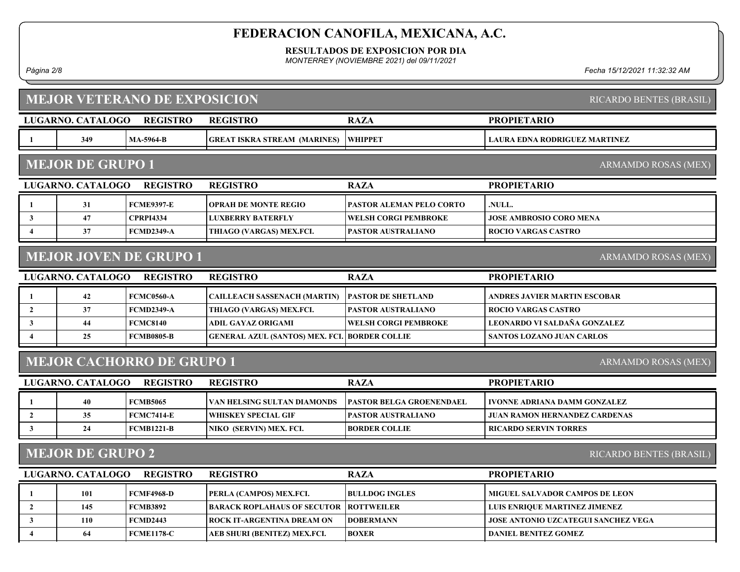RESULTADOS DE EXPOSICION POR DIA

MONTERREY (NOVIEMBRE 2021) del 09/11/2021

Página 2/8 Fecha 15/12/2021 11:32:32 AM

|                                                                                              | <b>MEJOR VETERANO DE EXPOSICION</b><br>RICARDO BENTES (BRASIL) |                                  |                                        |                                 |                                       |  |  |  |
|----------------------------------------------------------------------------------------------|----------------------------------------------------------------|----------------------------------|----------------------------------------|---------------------------------|---------------------------------------|--|--|--|
|                                                                                              | LUGARNO. CATALOGO                                              | <b>REGISTRO</b>                  | <b>REGISTRO</b>                        | <b>RAZA</b>                     | <b>PROPIETARIO</b>                    |  |  |  |
| $\mathbf{1}$                                                                                 | 349                                                            | <b>MA-5964-B</b>                 | <b>GREAT ISKRA STREAM (MARINES)</b>    | <b>WHIPPET</b>                  | <b>LAURA EDNA RODRIGUEZ MARTINEZ</b>  |  |  |  |
|                                                                                              | <b>MEJOR DE GRUPO 1</b><br>ARMAMDO ROSAS (MEX)                 |                                  |                                        |                                 |                                       |  |  |  |
| <b>PROPIETARIO</b><br>LUGARNO. CATALOGO<br><b>REGISTRO</b><br><b>REGISTRO</b><br><b>RAZA</b> |                                                                |                                  |                                        |                                 |                                       |  |  |  |
|                                                                                              | 31                                                             | <b>FCME9397-E</b>                | <b>OPRAH DE MONTE REGIO</b>            | PASTOR ALEMAN PELO CORTO        | NULL.                                 |  |  |  |
| 3                                                                                            | 47                                                             | <b>CPRPI4334</b>                 | <b>LUXBERRY BATERFLY</b>               | WELSH CORGI PEMBROKE            | <b>JOSE AMBROSIO CORO MENA</b>        |  |  |  |
| $\overline{4}$                                                                               | 37                                                             | <b>FCMD2349-A</b>                | THIAGO (VARGAS) MEX.FCI.               | PASTOR AUSTRALIANO              | <b>ROCIO VARGAS CASTRO</b>            |  |  |  |
|                                                                                              |                                                                | <b>MEJOR JOVEN DE GRUPO 1</b>    |                                        |                                 | <b>ARMAMDO ROSAS (MEX)</b>            |  |  |  |
|                                                                                              | LUGARNO. CATALOGO                                              | <b>REGISTRO</b>                  | <b>REGISTRO</b>                        | <b>RAZA</b>                     | <b>PROPIETARIO</b>                    |  |  |  |
| $\mathbf{1}$                                                                                 | 42                                                             | <b>FCMC0560-A</b>                | <b>CAILLEACH SASSENACH (MARTIN)</b>    | <b>PASTOR DE SHETLAND</b>       | ANDRES JAVIER MARTIN ESCOBAR          |  |  |  |
| $\overline{2}$                                                                               | 37                                                             | <b>FCMD2349-A</b>                | THIAGO (VARGAS) MEX.FCI.               | PASTOR AUSTRALIANO              | <b>ROCIO VARGAS CASTRO</b>            |  |  |  |
| 3                                                                                            | 44                                                             | <b>FCMC8140</b>                  | ADIL GAYAZ ORIGAMI                     | <b>WELSH CORGI PEMBROKE</b>     | LEONARDO VI SALDAÑA GONZALEZ          |  |  |  |
| $\overline{\mathbf{4}}$                                                                      | 25                                                             | <b>FCMB0805-B</b>                | <b>GENERAL AZUL (SANTOS) MEX. FCI.</b> | <b>BORDER COLLIE</b>            | <b>SANTOS LOZANO JUAN CARLOS</b>      |  |  |  |
|                                                                                              |                                                                | <b>MEJOR CACHORRO DE GRUPO 1</b> |                                        |                                 | ARMAMDO ROSAS (MEX)                   |  |  |  |
|                                                                                              | LUGARNO. CATALOGO                                              | <b>REGISTRO</b>                  | <b>REGISTRO</b>                        | <b>RAZA</b>                     | <b>PROPIETARIO</b>                    |  |  |  |
| $\mathbf{1}$                                                                                 | 40                                                             | <b>FCMB5065</b>                  | VAN HELSING SULTAN DIAMONDS            | <b>PASTOR BELGA GROENENDAEL</b> | <b>IVONNE ADRIANA DAMM GONZALEZ</b>   |  |  |  |
| $\overline{2}$                                                                               | 35                                                             | <b>FCMC7414-E</b>                | <b>WHISKEY SPECIAL GIF</b>             | PASTOR AUSTRALIANO              | <b>JUAN RAMON HERNANDEZ CARDENAS</b>  |  |  |  |
| 3                                                                                            | 24                                                             | <b>FCMB1221-B</b>                | NIKO (SERVIN) MEX. FCI.                | <b>BORDER COLLIE</b>            | <b>RICARDO SERVIN TORRES</b>          |  |  |  |
|                                                                                              | <b>MEJOR DE GRUPO 2</b><br>RICARDO BENTES (BRASIL)             |                                  |                                        |                                 |                                       |  |  |  |
|                                                                                              | LUGARNO. CATALOGO                                              | <b>REGISTRO</b>                  | <b>REGISTRO</b>                        | <b>RAZA</b>                     | <b>PROPIETARIO</b>                    |  |  |  |
| 1                                                                                            | 101                                                            | <b>FCMF4968-D</b>                | PERLA (CAMPOS) MEX.FCI.                | <b>BULLDOG INGLES</b>           | <b>MIGUEL SALVADOR CAMPOS DE LEON</b> |  |  |  |
| $\overline{2}$                                                                               | 145                                                            | <b>FCMB3892</b>                  | <b>BARACK ROPLAHAUS OF SECUTOR</b>     | <b>ROTTWEILER</b>               | LUIS ENRIQUE MARTINEZ JIMENEZ         |  |  |  |
| 3                                                                                            | 110                                                            | <b>FCMD2443</b>                  | ROCK IT-ARGENTINA DREAM ON             | <b>DOBERMANN</b>                | JOSE ANTONIO UZCATEGUI SANCHEZ VEGA   |  |  |  |
| $\boldsymbol{4}$                                                                             | 64                                                             | <b>FCME1178-C</b>                | AEB SHURI (BENITEZ) MEX.FCI.           | <b>BOXER</b>                    | <b>DANIEL BENITEZ GOMEZ</b>           |  |  |  |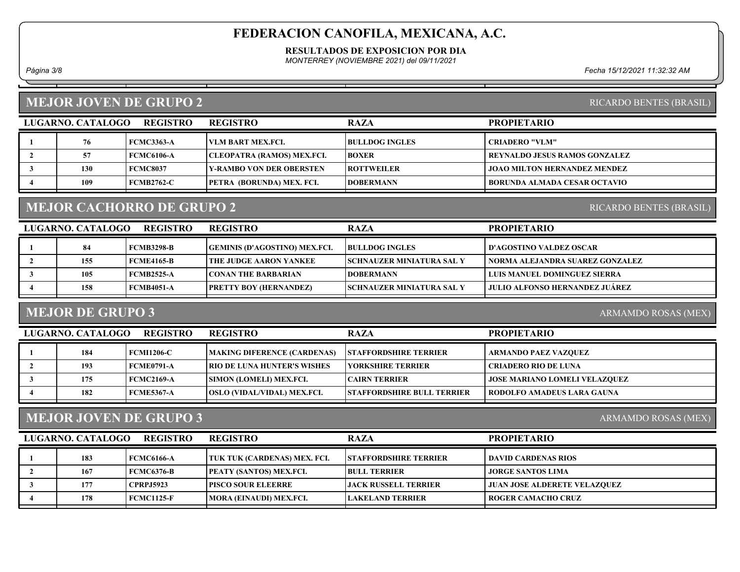RESULTADOS DE EXPOSICION POR DIA

MONTERREY (NOVIEMBRE 2021) del 09/11/2021

Página 3/8 Fecha 15/12/2021 11:32:32 AM

#### MEJOR JOVEN DE GRUPO 2

| LUGARNO. CATALOGO | <b>REGISTRO</b> | <b>REGISTRO</b>                  | <b>RAZA</b>           | <b>PROPIETARIO</b>            |
|-------------------|-----------------|----------------------------------|-----------------------|-------------------------------|
| 76                | FCMC3363-A      | I VLM BART MEX.FCL               | <b>BULLDOG INGLES</b> | CRIADERO "VLM"                |
|                   | FCMC6106-A      | CLEOPATRA (RAMOS) MEX.FCI.       | <b>BOXER</b>          | REYNALDO JESUS RAMOS GONZALEZ |
| 130               | FCMC8037        | <b>TY-RAMBO VON DER OBERSTEN</b> | <b>IROTTWEILER</b>    | JOAO MILTON HERNANDEZ MENDEZ  |
| 109               | FCMB2762-C      | <b>PETRA (BORUNDA) MEX. FCI.</b> | <b>DOBERMANN</b>      | BORUNDA ALMADA CESAR OCTAVIO  |
|                   |                 |                                  |                       |                               |

#### MEJOR CACHORRO DE GRUPO 2

| LUGARNO. CATALOGO | <b>REGISTRO</b>   | <b>REGISTRO</b>                      | <b>RAZA</b>                       | <b>PROPIETARIO</b>               |
|-------------------|-------------------|--------------------------------------|-----------------------------------|----------------------------------|
| 84                | FCMB3298-B        | <b>GEMINIS (D'AGOSTINO) MEX.FCI.</b> | <b>BULLDOG INGLES</b>             | <b>I D'AGOSTINO VALDEZ OSCAR</b> |
| 155               | <b>FCME4165-B</b> | <b>THE JUDGE AARON YANKEE</b>        | <b>ISCHNAUZER MINIATURA SAL Y</b> | NORMA ALEJANDRA SUAREZ GONZALEZ  |
| 105               | <b>FCMB2525-A</b> | <b>ICONAN THE BARBARIAN</b>          | <b>IDOBERMANN</b>                 | LUIS MANUEL DOMINGUEZ SIERRA     |
| 158               | FCMB4051-A        | <b>PRETTY BOY (HERNANDEZ)</b>        | <b>ISCHNAUZER MINIATURA SAL Y</b> | JULIO ALFONSO HERNANDEZ JUÁREZ   |

### MEJOR DE GRUPO 3

ARMAMDO ROSAS (MEX)

| LUGARNO. CATALOGO | <b>REGISTRO</b>   | <b>REGISTRO</b>                    | <b>RAZA</b>                        | <b>PROPIETARIO</b>                   |
|-------------------|-------------------|------------------------------------|------------------------------------|--------------------------------------|
| 184               | <b>FCMI1206-C</b> | <b>MAKING DIFERENCE (CARDENAS)</b> | <b>STAFFORDSHIRE TERRIER</b>       | ARMANDO PAEZ VAZQUEZ                 |
| 193               | FCME0791-A        | <b>RIO DE LUNA HUNTER'S WISHES</b> | <b>TYORKSHIRE TERRIER</b>          | <b>CRIADERO RIO DE LUNA</b>          |
| 175               | <b>FCMC2169-A</b> | <b>SIMON (LOMELI) MEX.FCI.</b>     | <b>ICAIRN TERRIER</b>              | <b>JOSE MARIANO LOMELI VELAZQUEZ</b> |
| 182               | <b>FCME5367-A</b> | <b>OSLO (VIDAL/VIDAL) MEX.FCI.</b> | <b>ISTAFFORDSHIRE BULL TERRIER</b> | RODOLFO AMADEUS LARA GAUNA           |

### MEJOR JOVEN DE GRUPO 3

ARMAMDO ROSAS (MEX)

| LUGARNO. CATALOGO | <b>REGISTRO</b>  | <b>REGISTRO</b>                 | <b>RAZA</b>                  | <b>PROPIETARIO</b>                  |
|-------------------|------------------|---------------------------------|------------------------------|-------------------------------------|
| 183               | FCMC6166-A       | TUK TUK (CARDENAS) MEX. FCI.    | <b>STAFFORDSHIRE TERRIER</b> | DAVID CARDENAS RIOS                 |
| 167               | FCMC6376-B       | <b> PEATY (SANTOS) MEX.FCI.</b> | <b>BULL TERRIER</b>          | JORGE SANTOS LIMA                   |
| 177               | <b>CPRPJ5923</b> | I PISCO SOUR ELEERRE-           | LJACK RUSSELL TERRIER-       | <b>JUAN JOSE ALDERETE VELAZQUEZ</b> |
| 178               | FCMC1125-F       | MORA (EINAUDI) MEX.FCI.         | <b>LAKELAND TERRIER</b>      | ROGER CAMACHO CRUZ                  |
|                   |                  |                                 |                              |                                     |

#### RICARDO BENTES (BRASIL)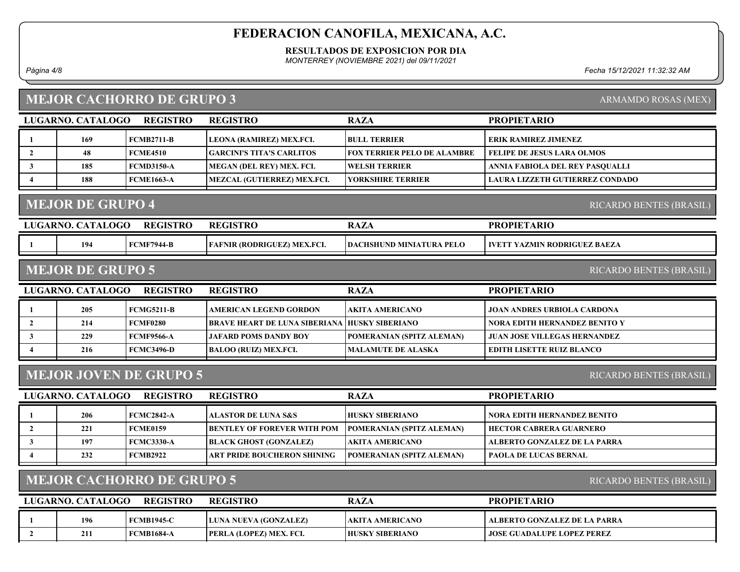RESULTADOS DE EXPOSICION POR DIA

MONTERREY (NOVIEMBRE 2021) del 09/11/2021

## MEJOR CACHORRO DE GRUPO 3

| Página 4/8 | 15/12/2021<br>' ≏cha . | $\mathbf{A}$<br>ากง<br>1:32:32 AM |
|------------|------------------------|-----------------------------------|
|            |                        |                                   |

ARMAMDO ROSAS (MEX)

| LUGARNO. CATALOGO                                         | <b>REGISTRO</b>   | <b>REGISTRO</b>                  | <b>RAZA</b>                        | <b>PROPIETARIO</b>                     |  |  |
|-----------------------------------------------------------|-------------------|----------------------------------|------------------------------------|----------------------------------------|--|--|
| 169                                                       | <b>FCMB2711-B</b> | LEONA (RAMIREZ) MEX.FCI.         | <b>BULL TERRIER</b>                | ERIK RAMIREZ JIMENEZ                   |  |  |
| 48                                                        | <b>FCME4510</b>   | <b>GARCINI'S TITA'S CARLITOS</b> | <b>FOX TERRIER PELO DE ALAMBRE</b> | <b>FELIPE DE JESUS LARA OLMOS</b>      |  |  |
| 185                                                       | <b>FCMD3150-A</b> | MEGAN (DEL REY) MEX. FCI.        | WELSH TERRIER                      | ANNIA FABIOLA DEL REY PASQUALLI        |  |  |
| 188                                                       | <b>FCME1663-A</b> | MEZCAL (GUTIERREZ) MEX.FCI.      | <b>YORKSHIRE TERRIER</b>           | <b>LAURA LIZZETH GUTIERREZ CONDADO</b> |  |  |
|                                                           |                   |                                  |                                    |                                        |  |  |
| <b>MEJOR DE GRUPO 4</b><br><b>RICARDO BENTES (BRASIL)</b> |                   |                                  |                                    |                                        |  |  |

| LUGARNO. | <b>ATALOGO</b> | <b>REGISTRO</b>   | <b>REGISTRO</b>                | D A 7<br>NAL                    | <b>PROPIETARIO</b>     |
|----------|----------------|-------------------|--------------------------------|---------------------------------|------------------------|
|          | 194            | <b>FCMF7944-B</b> | MEX.FCI.<br>FAFNIR (RODRIGUEZ) | <b>DACHSHUND MINIATURA PELO</b> | YAZMIN RODRIGUEZ BAEZA |
|          |                |                   |                                |                                 |                        |

#### MEJOR DE GRUPO 5

RICARDO BENTES (BRASIL)

| LUGARNO. CATALOGO | <b>REGISTRO</b>   | <b>REGISTRO</b>                                       | <b>RAZA</b>                      | <b>PROPIETARIO</b>                   |
|-------------------|-------------------|-------------------------------------------------------|----------------------------------|--------------------------------------|
| 205               | <b>FCMG5211-B</b> | <b>AMERICAN LEGEND GORDON</b>                         | <b>AKITA AMERICANO</b>           | JOAN ANDRES URBIOLA CARDONA          |
| 214               | <b>FCMF0280</b>   | <b>IBRAVE HEART DE LUNA SIBERIANA HUSKY SIBERIANO</b> |                                  | <b>NORA EDITH HERNANDEZ BENITO Y</b> |
| 229               | <b>FCMF9566-A</b> | <b>LJAFARD POMS DANDY BOY</b>                         | <b>POMERANIAN (SPITZ ALEMAN)</b> | <b>JUAN JOSE VILLEGAS HERNANDEZ</b>  |
| 216               | FCMC3496-D        | <b>BALOO (RUIZ) MEX.FCI.</b>                          | MALAMUTE DE ALASKA               | EDITH LISETTE RUIZ BLANCO            |
|                   |                   |                                                       |                                  |                                      |

### MEJOR JOVEN DE GRUPO 5

RICARDO BENTES (BRASIL)

### MEJOR CACHORRO DE GRUPO 5

| LUGARNO, CATALOGO | <b>REGISTRO</b>   | <b>REGISTRO</b>                | <b>RAZA</b>            | <b>PROPIETARIO</b>                  |
|-------------------|-------------------|--------------------------------|------------------------|-------------------------------------|
| 196               | <b>FCMB1945-C</b> | LUNA NUEVA (GONZALEZ)          | TAKITA AMERICANO       | ALBERTO GONZALEZ DE LA PARRA        |
| 211               | <b>FCMB1684-A</b> | <b>PERLA (LOPEZ) MEX. FCI.</b> | <b>HUSKY SIBERIANO</b> | <b>  JOSE GUADALUPE LOPEZ PEREZ</b> |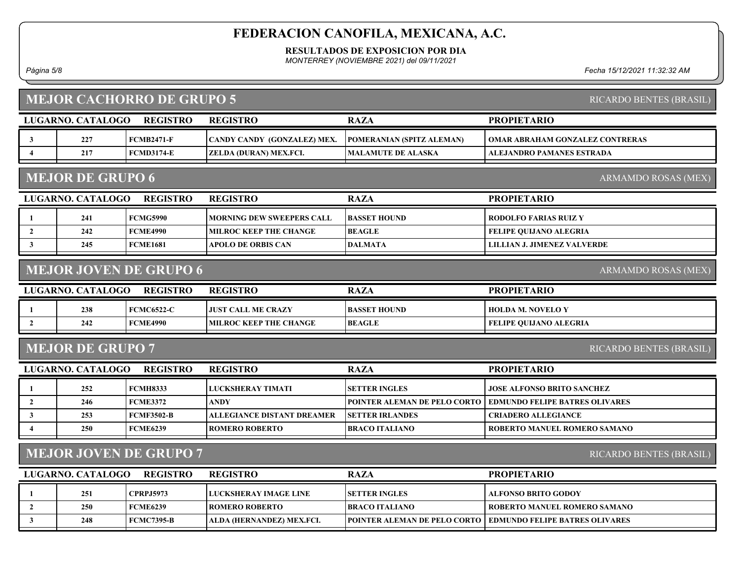RESULTADOS DE EXPOSICION POR DIA

MONTERREY (NOVIEMBRE 2021) del 09/11/2021

Página 5/8 Fecha 15/12/2021 11:32:32 AM

## MEJOR CACHORRO DE GRUPO 5

|                | <b>LUGARNO. CATALOGO</b> | <b>REGISTRO</b>               | <b>REGISTRO</b>                   | <b>RAZA</b>                  | <b>PROPIETARIO</b>                     |
|----------------|--------------------------|-------------------------------|-----------------------------------|------------------------------|----------------------------------------|
| 3              | 227                      | <b>FCMB2471-F</b>             | CANDY CANDY (GONZALEZ) MEX.       | POMERANIAN (SPITZ ALEMAN)    | <b>OMAR ABRAHAM GONZALEZ CONTRERAS</b> |
| $\overline{4}$ | 217                      | <b>FCMD3174-E</b>             | ZELDA (DURAN) MEX.FCI.            | <b>MALAMUTE DE ALASKA</b>    | ALEJANDRO PAMANES ESTRADA              |
|                | <b>MEJOR DE GRUPO 6</b>  |                               |                                   |                              | ARMAMDO ROSAS (MEX)                    |
|                | LUGARNO. CATALOGO        | <b>REGISTRO</b>               | <b>REGISTRO</b>                   | <b>RAZA</b>                  | <b>PROPIETARIO</b>                     |
| -1             | 241                      | <b>FCMG5990</b>               | <b>MORNING DEW SWEEPERS CALL</b>  | <b>BASSET HOUND</b>          | <b>RODOLFO FARIAS RUIZ Y</b>           |
| $\overline{2}$ | 242                      | <b>FCME4990</b>               | <b>MILROC KEEP THE CHANGE</b>     | <b>BEAGLE</b>                | <b>FELIPE QUIJANO ALEGRIA</b>          |
| $\mathbf{3}$   | 245                      | <b>FCME1681</b>               | <b>APOLO DE ORBIS CAN</b>         | <b>DALMATA</b>               | <b>LILLIAN J. JIMENEZ VALVERDE</b>     |
|                |                          |                               |                                   |                              |                                        |
|                |                          | <b>MEJOR JOVEN DE GRUPO 6</b> |                                   |                              | <b>ARMAMDO ROSAS (MEX)</b>             |
|                | LUGARNO. CATALOGO        | <b>REGISTRO</b>               | <b>REGISTRO</b>                   | <b>RAZA</b>                  | <b>PROPIETARIO</b>                     |
| -1             | 238                      | <b>FCMC6522-C</b>             | <b>JUST CALL ME CRAZY</b>         | <b>BASSET HOUND</b>          | <b>HOLDA M. NOVELO Y</b>               |
| $\overline{2}$ | 242                      | <b>FCME4990</b>               | <b>MILROC KEEP THE CHANGE</b>     | <b>BEAGLE</b>                | <b>FELIPE QUIJANO ALEGRIA</b>          |
|                | <b>MEJOR DE GRUPO 7</b>  |                               |                                   |                              | RICARDO BENTES (BRASIL)                |
|                | LUGARNO. CATALOGO        | <b>REGISTRO</b>               | <b>REGISTRO</b>                   | <b>RAZA</b>                  | <b>PROPIETARIO</b>                     |
| -1             | 252                      | <b>FCMH8333</b>               | <b>LUCKSHERAY TIMATI</b>          | <b>SETTER INGLES</b>         | <b>JOSE ALFONSO BRITO SANCHEZ</b>      |
| $\overline{2}$ | 246                      | <b>FCME3372</b>               | <b>ANDY</b>                       | POINTER ALEMAN DE PELO CORTO | <b>EDMUNDO FELIPE BATRES OLIVARES</b>  |
| $\mathbf{3}$   | 253                      | <b>FCMF3502-B</b>             | <b>ALLEGIANCE DISTANT DREAMER</b> | <b>SETTER IRLANDES</b>       | <b>CRIADERO ALLEGIANCE</b>             |

### MEJOR JOVEN DE GRUPO 7

RICARDO BENTES (BRASIL)

| LUGARNO. CATALOGO | <b>REGISTRO</b>   | <b>REGISTRO</b>                | <b>RAZA</b>            | <b>PROPIETARIO</b>                                                    |
|-------------------|-------------------|--------------------------------|------------------------|-----------------------------------------------------------------------|
| 251               | <b>CPRPJ5973</b>  | <b>I LUCKSHERAY IMAGE LINE</b> | <b>ISETTER INGLES</b>  | ALFONSO BRITO GODOY                                                   |
| 250               | <b>FCME6239</b>   | ROMERO ROBERTO_                | <b>IBRACO ITALIANO</b> | ROBERTO MANUEL ROMERO SAMANO                                          |
| 248               | <b>FCMC7395-B</b> | 'ALDA (HERNANDEZ) MEX.FCI.     |                        | <b>TPOINTER ALEMAN DE PELO CORTO   EDMUNDO FELIPE BATRES OLIVARES</b> |
|                   |                   |                                |                        |                                                                       |

4 250 FCME6239 ROMERO ROBERTO BRACO ITALIANO ROBERTO ROBERTO ROBERTO ROBERTO ROBERTO ROBERTO ROBERTO ANNUEL ROMERO SAMANO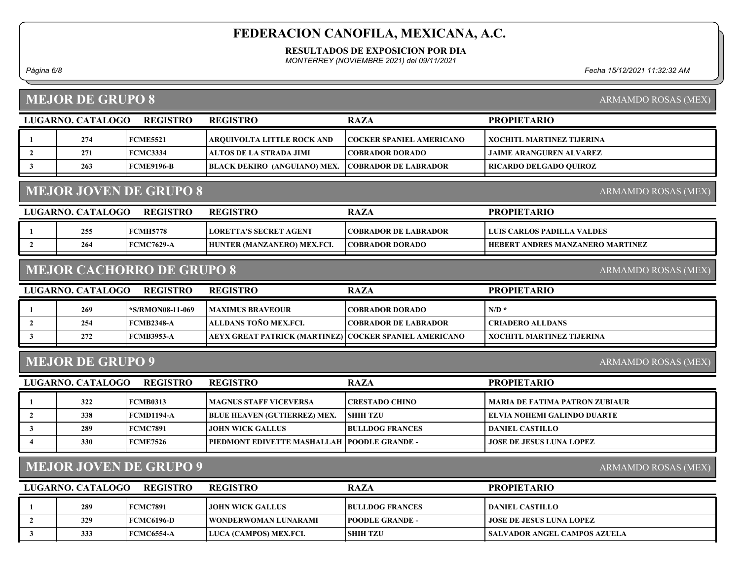RESULTADOS DE EXPOSICION POR DIA

MONTERREY (NOVIEMBRE 2021) del 09/11/2021

Página 6/8 Fecha 15/12/2021 11:32:32 AM

PROPIETARIO

#### MEJOR DE GRUPO 8

1 274 FCME5521 ARQUIVOLTA LITTLE ROCK AND COCKER SPANIEL AMERICANO XOCHITL MARTINEZ TIJERINA

ARMAMDO ROSAS (MEX)

| 271 | <b>FCMC3334</b>               | TALTOS DE LA STRADA JIMI            | <b>COBRADOR DORADO</b>      | <b>JAIME ARANGUREN ALVAREZ</b> |
|-----|-------------------------------|-------------------------------------|-----------------------------|--------------------------------|
| 263 | FCME9196-B                    | <b>BLACK DEKIRO (ANGUIANO) MEX.</b> | <b>COBRADOR DE LABRADOR</b> | RICARDO DELGADO QUIROZ         |
|     |                               |                                     |                             |                                |
|     | <b>MEJOR JOVEN DE GRUPO 8</b> |                                     |                             | ARMAMDO ROSAS (MEX)            |

#### MEJOR JOVEN DE GRUPO 8

| LUGARNO. CATALOGO- | <b>REGISTRO</b> | <b>REGISTRO</b>                | <b>RAZA</b>                  | <b>PROPIETARIO</b>                      |
|--------------------|-----------------|--------------------------------|------------------------------|-----------------------------------------|
| 255                | FCMH5778        | <b>ILORETTA'S SECRET AGENT</b> | <b>ICOBRADOR DE LABRADOR</b> | LLUIS CARLOS PADILLA VALDES-            |
| 264                | FCMC7629-A      | HUNTER (MANZANERO) MEX.FCI.    | <b>COBRADOR DORADO</b>       | <b>HEBERT ANDRES MANZANERO MARTINEZ</b> |

#### MEJOR CACHORRO DE GRUPO 8

LUGARNO. CATALOGO REGISTRO RAZA

REGISTRO

| LUGARNO. CATALOGO | <b>REGISTRO</b>   | <b>REGISTRO</b>                                         | RAZA                        | <b>PROPIETARIO</b>        |
|-------------------|-------------------|---------------------------------------------------------|-----------------------------|---------------------------|
|                   |                   |                                                         |                             |                           |
| 269               | *S/RMON08-11-069  | <b>IMAXIMUS BRAVEOUR</b>                                | <b>COBRADOR DORADO</b>      | $N/D$ *                   |
| 254               | FCMB2348-A        | ALLDANS TOÑO MEX.FCL                                    | <b>COBRADOR DE LABRADOR</b> | ! CRIADERO ALLDANS .      |
| 272               | <b>FCMB3953-A</b> | AEYX GREAT PATRICK (MARTINEZ) COCKER SPANIEL AMERICANO_ |                             | XOCHITL MARTINEZ TIJERINA |
|                   |                   |                                                         |                             |                           |

#### MEJOR DE GRUPO 9

ARMAMDO ROSAS (MEX)

ARMAMDO ROSAS (MEX)

| LUGARNO. CATALOGO | <b>REGISTRO</b> | <b>REGISTRO</b>                               | <b>RAZA</b>            | <b>PROPIETARIO</b>                    |
|-------------------|-----------------|-----------------------------------------------|------------------------|---------------------------------------|
| 322               | <b>FCMB0313</b> | <b>IMAGNUS STAFF VICEVERSA</b>                | <b>ICRESTADO CHINO</b> | <b>MARIA DE FATIMA PATRON ZUBIAUR</b> |
| 338               | FCMD1194-A      | <b>BLUE HEAVEN (GUTIERREZ) MEX.</b>           | <b>SHIH TZU</b>        | ELVIA NOHEMI GALINDO DUARTE           |
| 289               | FCMC7891        | <b>JOHN WICK GALLUS</b>                       | <b>BULLDOG FRANCES</b> | DANIEL CASTILLO                       |
| 330               | FCME7526        | PIEDMONT EDIVETTE MASHALLAH   POODLE GRANDE - |                        | <b>JOSE DE JESUS LUNA LOPEZ</b>       |

### MEJOR JOVEN DE GRUPO 9

ARMAMDO ROSAS (MEX)

| LUGARNO. CATALOGO | <b>REGISTRO</b> | <b>REGISTRO</b>               | <b>RAZA</b>             | <b>PROPIETARIO</b>               |
|-------------------|-----------------|-------------------------------|-------------------------|----------------------------------|
| 289               | FCMC7891        | LIOHN WICK GALLUS -           | <b>BULLDOG FRANCES</b>  | DANIEL CASTILLO_                 |
| 329               | FCMC6196-D      | <b>TWONDERWOMAN LUNARAMI</b>  | <b>IPOODLE GRANDE -</b> | <b>LIOSE DE JESUS LUNA LOPEZ</b> |
| 333               | FCMC6554-A      | <b>LUCA (CAMPOS) MEX.FCI.</b> | <b>SHIH TZU</b>         | SALVADOR ANGEL CAMPOS AZUELA     |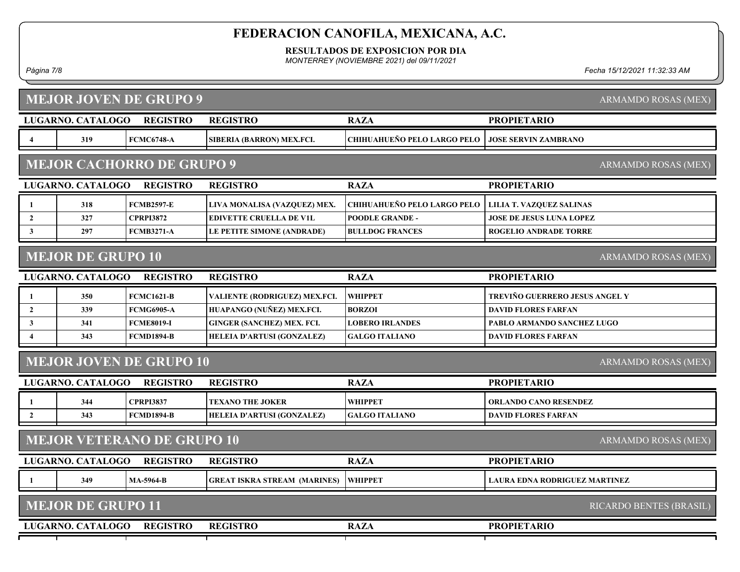RESULTADOS DE EXPOSICION POR DIA

MONTERREY (NOVIEMBRE 2021) del 09/11/2021

#### Página 7/8 Fecha 15/12/2021 11:32:33 AM

|                         |                          | <b>MEJOR JOVEN DE GRUPO 9</b>     |                                     |                                    |                                 | ARMAMDO ROSAS (MEX)        |
|-------------------------|--------------------------|-----------------------------------|-------------------------------------|------------------------------------|---------------------------------|----------------------------|
|                         | LUGARNO. CATALOGO        | <b>REGISTRO</b>                   | <b>REGISTRO</b>                     | <b>RAZA</b>                        | <b>PROPIETARIO</b>              |                            |
| $\overline{\mathbf{4}}$ | 319                      | <b>FCMC6748-A</b>                 | SIBERIA (BARRON) MEX.FCI.           | <b>CHIHUAHUEÑO PELO LARGO PELO</b> | <b>JOSE SERVIN ZAMBRANO</b>     |                            |
|                         |                          | <b>MEJOR CACHORRO DE GRUPO 9</b>  |                                     |                                    |                                 | ARMAMDO ROSAS (MEX)        |
|                         | LUGARNO. CATALOGO        | <b>REGISTRO</b>                   | <b>REGISTRO</b>                     | <b>RAZA</b>                        | <b>PROPIETARIO</b>              |                            |
| 1                       | 318                      | <b>FCMB2597-E</b>                 | LIVA MONALISA (VAZQUEZ) MEX.        | CHIHUAHUEÑO PELO LARGO PELO        | LILIA T. VAZQUEZ SALINAS        |                            |
| $\overline{2}$          | 327                      | <b>CPRPI3872</b>                  | <b>EDIVETTE CRUELLA DE V1L</b>      | <b>POODLE GRANDE -</b>             | <b>JOSE DE JESUS LUNA LOPEZ</b> |                            |
| $\mathbf{3}$            | 297                      | <b>FCMB3271-A</b>                 | LE PETITE SIMONE (ANDRADE)          | <b>BULLDOG FRANCES</b>             | <b>ROGELIO ANDRADE TORRE</b>    |                            |
|                         | <b>MEJOR DE GRUPO 10</b> |                                   |                                     |                                    |                                 | <b>ARMAMDO ROSAS (MEX)</b> |
|                         | LUGARNO. CATALOGO        | <b>REGISTRO</b>                   | <b>REGISTRO</b>                     | <b>RAZA</b>                        | <b>PROPIETARIO</b>              |                            |
| $\mathbf{1}$            | 350                      | <b>FCMC1621-B</b>                 | VALIENTE (RODRIGUEZ) MEX.FCI.       | <b>WHIPPET</b>                     | TREVIÑO GUERRERO JESUS ANGEL Y  |                            |
| $\overline{2}$          | 339                      | <b>FCMG6905-A</b>                 | HUAPANGO (NUÑEZ) MEX.FCI.           | <b>BORZOI</b>                      | <b>DAVID FLORES FARFAN</b>      |                            |
| $\mathbf{3}$            | 341                      | <b>FCME8019-I</b>                 | <b>GINGER (SANCHEZ) MEX. FCI.</b>   | <b>LOBERO IRLANDES</b>             | PABLO ARMANDO SANCHEZ LUGO      |                            |
|                         | 343                      | <b>FCMD1894-B</b>                 | HELEIA D'ARTUSI (GONZALEZ)          | <b>GALGO ITALIANO</b>              | <b>DAVID FLORES FARFAN</b>      |                            |
|                         |                          | <b>MEJOR JOVEN DE GRUPO 10</b>    |                                     |                                    |                                 | ARMAMDO ROSAS (MEX)        |
|                         | <b>LUGARNO. CATALOGO</b> | <b>REGISTRO</b>                   | <b>REGISTRO</b>                     | <b>RAZA</b>                        | <b>PROPIETARIO</b>              |                            |
| 1                       | 344                      | <b>CPRPI3837</b>                  | <b>TEXANO THE JOKER</b>             | <b>WHIPPET</b>                     | <b>ORLANDO CANO RESENDEZ</b>    |                            |
| $\mathbf{2}$            | 343                      | <b>FCMD1894-B</b>                 | HELEIA D'ARTUSI (GONZALEZ)          | <b>GALGO ITALIANO</b>              | <b>DAVID FLORES FARFAN</b>      |                            |
|                         |                          | <b>MEJOR VETERANO DE GRUPO 10</b> |                                     |                                    |                                 | ARMAMDO ROSAS (MEX)        |
|                         | LUGARNO. CATALOGO        | <b>REGISTRO</b>                   | <b>REGISTRO</b>                     | <b>RAZA</b>                        | <b>PROPIETARIO</b>              |                            |
| 1                       | 349                      | <b>MA-5964-B</b>                  | <b>GREAT ISKRA STREAM (MARINES)</b> | <b>WHIPPET</b>                     | LAURA EDNA RODRIGUEZ MARTINEZ   |                            |
|                         | <b>MEJOR DE GRUPO 11</b> |                                   |                                     |                                    |                                 | RICARDO BENTES (BRASIL)    |
|                         | LUGARNO. CATALOGO        | <b>REGISTRO</b>                   | <b>REGISTRO</b>                     | <b>RAZA</b>                        | <b>PROPIETARIO</b>              |                            |
|                         |                          |                                   |                                     |                                    |                                 |                            |